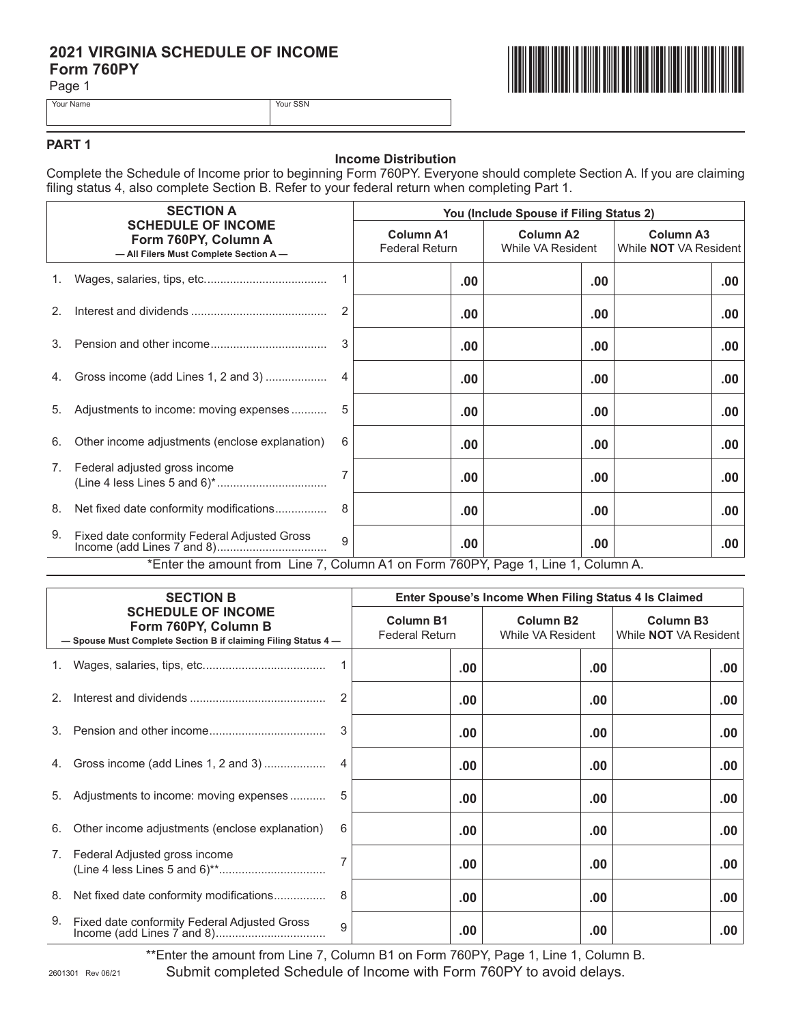# **2021 VIRGINIA SCHEDULE OF INCOME<br>Form 760PY<br>Page 1 Form 760PY**

Page 1



Your Name Your SSN

#### **PART 1**

### **Income Distribution**

Complete the Schedule of Income prior to beginning Form 760PY. Everyone should complete Section A. If you are claiming filing status 4, also complete Section B. Refer to your federal return when completing Part 1.

|             | <b>SECTION A</b><br><b>SCHEDULE OF INCOME</b><br>Form 760PY, Column A<br>- All Filers Must Complete Section A- |              | You (Include Spouse if Filing Status 2)   |          |                                       |                                                  |  |
|-------------|----------------------------------------------------------------------------------------------------------------|--------------|-------------------------------------------|----------|---------------------------------------|--------------------------------------------------|--|
|             |                                                                                                                |              | <b>Column A1</b><br><b>Federal Return</b> |          | <b>Column A2</b><br>While VA Resident | <b>Column A3</b><br>While <b>NOT</b> VA Resident |  |
| $1_{\cdot}$ |                                                                                                                |              |                                           | $.00 \,$ | $.00 \,$                              | .00.                                             |  |
| 2.          |                                                                                                                | 2            |                                           | $.00 \,$ | .00                                   | .00.                                             |  |
| 3.          |                                                                                                                | 3            |                                           | .00      | .00                                   | .00.                                             |  |
| 4.          | Gross income (add Lines 1, 2 and 3)                                                                            | 4            |                                           | $.00 \,$ | .00                                   | .00.                                             |  |
| 5.          | Adjustments to income: moving expenses                                                                         |              |                                           | .00      | .00                                   | .00.                                             |  |
| 6.          | Other income adjustments (enclose explanation)                                                                 | 6            |                                           | .00      | $.00 \,$                              | .00.                                             |  |
| 7.          | Federal adjusted gross income                                                                                  |              |                                           | .00      | $.00 \,$                              | .00.                                             |  |
| 8.          | Net fixed date conformity modifications                                                                        | 8            |                                           | .00      | .00                                   | .00.                                             |  |
| 9.          | Fixed date conformity Federal Adjusted Gross                                                                   | $\mathbf{Q}$ |                                           | .00      | .00                                   | .00                                              |  |
|             | *Enter the amount from Line 7, Column A1 on Form 760PY, Page 1, Line 1, Column A.                              |              |                                           |          |                                       |                                                  |  |

| <b>SECTION B</b><br><b>SCHEDULE OF INCOME</b><br>Form 760PY, Column B<br>- Spouse Must Complete Section B if claiming Filing Status 4- |                                                | Enter Spouse's Income When Filing Status 4 Is Claimed |                                       |                                                  |      |  |  |
|----------------------------------------------------------------------------------------------------------------------------------------|------------------------------------------------|-------------------------------------------------------|---------------------------------------|--------------------------------------------------|------|--|--|
|                                                                                                                                        |                                                | <b>Column B1</b><br><b>Federal Return</b>             | <b>Column B2</b><br>While VA Resident | <b>Column B3</b><br>While <b>NOT</b> VA Resident |      |  |  |
|                                                                                                                                        |                                                |                                                       | .00                                   | $.00 \,$                                         | .00  |  |  |
| 2.                                                                                                                                     |                                                |                                                       | .00.                                  | $.00 \,$                                         | .00  |  |  |
| 3 <sub>1</sub>                                                                                                                         |                                                | 3                                                     | .00.                                  | .00                                              | .00. |  |  |
| 4.                                                                                                                                     | Gross income (add Lines 1, 2 and 3)            |                                                       | .00.                                  | .00                                              | .00  |  |  |
| 5.                                                                                                                                     | Adjustments to income: moving expenses         | 5                                                     | .00.                                  | .00                                              | .00  |  |  |
| 6.                                                                                                                                     | Other income adjustments (enclose explanation) | 6                                                     | .00.                                  | .00                                              | .00  |  |  |
| 7.                                                                                                                                     | Federal Adjusted gross income                  |                                                       | .00.                                  | $.00 \,$                                         | .00  |  |  |
| 8.                                                                                                                                     | Net fixed date conformity modifications        | 8                                                     | .00.                                  | .00                                              | .00  |  |  |
| 9.                                                                                                                                     | Fixed date conformity Federal Adjusted Gross   | 9                                                     | .00                                   | .00                                              | .00  |  |  |

\*\*Enter the amount from Line 7, Column B1 on Form 760PY, Page 1, Line 1, Column B.

Submit completed Schedule of Income with Form 760PY to avoid delays.